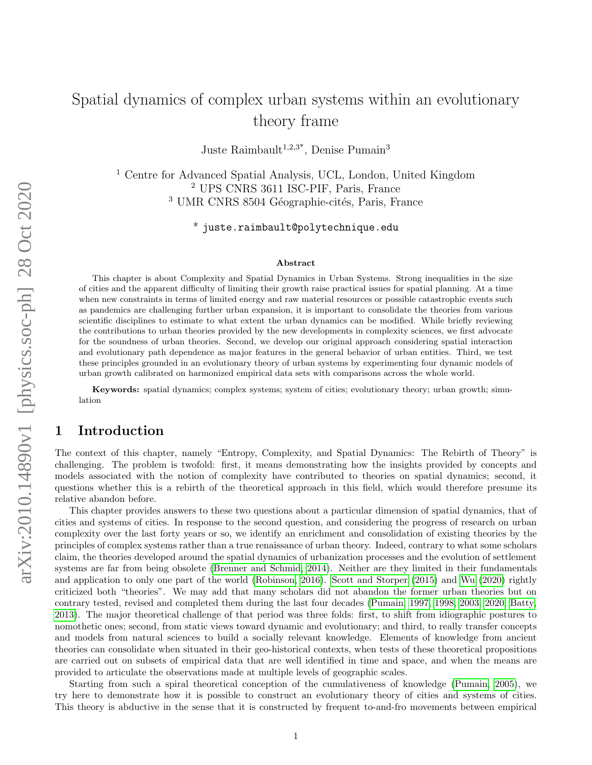# Spatial dynamics of complex urban systems within an evolutionary theory frame

Juste Raimbault<sup>1,2,3\*</sup>, Denise Pumain<sup>3</sup>

<sup>1</sup> Centre for Advanced Spatial Analysis, UCL, London, United Kingdom <sup>2</sup> UPS CNRS 3611 ISC-PIF, Paris, France <sup>3</sup> UMR CNRS 8504 Géographie-cités, Paris, France

 $^*$  juste.raimbault@polytechnique.edu

#### Abstract

This chapter is about Complexity and Spatial Dynamics in Urban Systems. Strong inequalities in the size of cities and the apparent difficulty of limiting their growth raise practical issues for spatial planning. At a time when new constraints in terms of limited energy and raw material resources or possible catastrophic events such as pandemics are challenging further urban expansion, it is important to consolidate the theories from various scientific disciplines to estimate to what extent the urban dynamics can be modified. While briefly reviewing the contributions to urban theories provided by the new developments in complexity sciences, we first advocate for the soundness of urban theories. Second, we develop our original approach considering spatial interaction and evolutionary path dependence as major features in the general behavior of urban entities. Third, we test these principles grounded in an evolutionary theory of urban systems by experimenting four dynamic models of urban growth calibrated on harmonized empirical data sets with comparisons across the whole world.

Keywords: spatial dynamics; complex systems; system of cities; evolutionary theory; urban growth; simulation

## 1 Introduction

The context of this chapter, namely "Entropy, Complexity, and Spatial Dynamics: The Rebirth of Theory" is challenging. The problem is twofold: first, it means demonstrating how the insights provided by concepts and models associated with the notion of complexity have contributed to theories on spatial dynamics; second, it questions whether this is a rebirth of the theoretical approach in this field, which would therefore presume its relative abandon before.

This chapter provides answers to these two questions about a particular dimension of spatial dynamics, that of cities and systems of cities. In response to the second question, and considering the progress of research on urban complexity over the last forty years or so, we identify an enrichment and consolidation of existing theories by the principles of complex systems rather than a true renaissance of urban theory. Indeed, contrary to what some scholars claim, the theories developed around the spatial dynamics of urbanization processes and the evolution of settlement systems are far from being obsolete [\(Brenner and Schmid, 2014\)](#page-12-0). Neither are they limited in their fundamentals and application to only one part of the world [\(Robinson, 2016\)](#page-15-0). [Scott and Storper](#page-15-1) [\(2015\)](#page-15-1) and [Wu](#page-15-2) [\(2020\)](#page-15-2) rightly criticized both "theories". We may add that many scholars did not abandon the former urban theories but on contrary tested, revised and completed them during the last four decades [\(Pumain, 1997,](#page-14-0) [1998,](#page-14-1) [2003,](#page-14-2) [2020;](#page-14-3) [Batty,](#page-12-1) [2013\)](#page-12-1). The major theoretical challenge of that period was three folds: first, to shift from idiographic postures to nomothetic ones; second, from static views toward dynamic and evolutionary; and third, to really transfer concepts and models from natural sciences to build a socially relevant knowledge. Elements of knowledge from ancient theories can consolidate when situated in their geo-historical contexts, when tests of these theoretical propositions are carried out on subsets of empirical data that are well identified in time and space, and when the means are provided to articulate the observations made at multiple levels of geographic scales.

Starting from such a spiral theoretical conception of the cumulativeness of knowledge [\(Pumain, 2005\)](#page-14-4), we try here to demonstrate how it is possible to construct an evolutionary theory of cities and systems of cities. This theory is abductive in the sense that it is constructed by frequent to-and-fro movements between empirical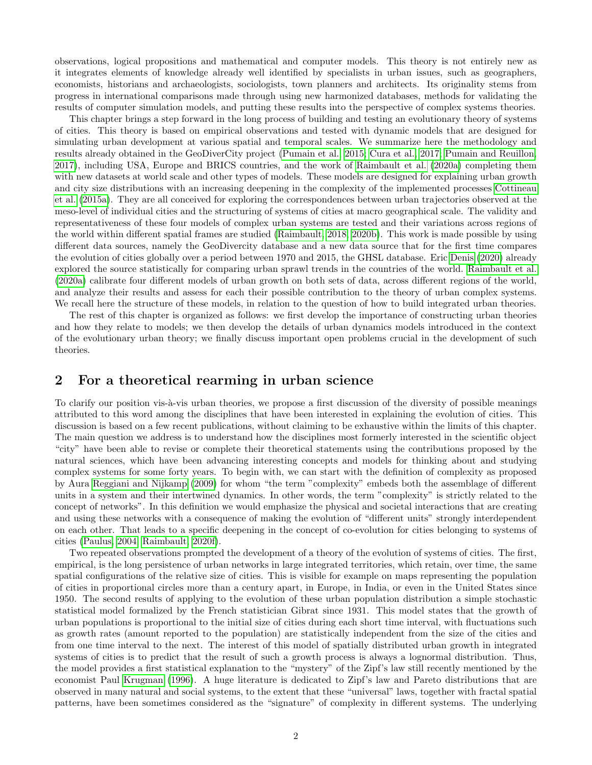observations, logical propositions and mathematical and computer models. This theory is not entirely new as it integrates elements of knowledge already well identified by specialists in urban issues, such as geographers, economists, historians and archaeologists, sociologists, town planners and architects. Its originality stems from progress in international comparisons made through using new harmonized databases, methods for validating the results of computer simulation models, and putting these results into the perspective of complex systems theories.

This chapter brings a step forward in the long process of building and testing an evolutionary theory of systems of cities. This theory is based on empirical observations and tested with dynamic models that are designed for simulating urban development at various spatial and temporal scales. We summarize here the methodology and results already obtained in the GeoDiverCity project [\(Pumain et al., 2015;](#page-14-5) [Cura et al., 2017;](#page-13-0) [Pumain and Reuillon,](#page-14-6) [2017\)](#page-14-6), including USA, Europe and BRICS countries, and the work of [Raimbault et al.](#page-14-7) [\(2020a\)](#page-14-7) completing them with new datasets at world scale and other types of models. These models are designed for explaining urban growth and city size distributions with an increasing deepening in the complexity of the implemented processes [Cottineau](#page-12-2) [et al.](#page-12-2) [\(2015a\)](#page-12-2). They are all conceived for exploring the correspondences between urban trajectories observed at the meso-level of individual cities and the structuring of systems of cities at macro geographical scale. The validity and representativeness of these four models of complex urban systems are tested and their variations across regions of the world within different spatial frames are studied [\(Raimbault, 2018,](#page-14-8) [2020b\)](#page-14-9). This work is made possible by using different data sources, namely the GeoDivercity database and a new data source that for the first time compares the evolution of cities globally over a period between 1970 and 2015, the GHSL database. Eric [Denis](#page-13-1) [\(2020\)](#page-13-1) already explored the source statistically for comparing urban sprawl trends in the countries of the world. [Raimbault et al.](#page-14-7) [\(2020a\)](#page-14-7) calibrate four different models of urban growth on both sets of data, across different regions of the world, and analyze their results and assess for each their possible contribution to the theory of urban complex systems. We recall here the structure of these models, in relation to the question of how to build integrated urban theories.

The rest of this chapter is organized as follows: we first develop the importance of constructing urban theories and how they relate to models; we then develop the details of urban dynamics models introduced in the context of the evolutionary urban theory; we finally discuss important open problems crucial in the development of such theories.

## 2 For a theoretical rearming in urban science

To clarify our position vis-à-vis urban theories, we propose a first discussion of the diversity of possible meanings attributed to this word among the disciplines that have been interested in explaining the evolution of cities. This discussion is based on a few recent publications, without claiming to be exhaustive within the limits of this chapter. The main question we address is to understand how the disciplines most formerly interested in the scientific object "city" have been able to revise or complete their theoretical statements using the contributions proposed by the natural sciences, which have been advancing interesting concepts and models for thinking about and studying complex systems for some forty years. To begin with, we can start with the definition of complexity as proposed by Aura [Reggiani and Nijkamp](#page-15-3) [\(2009\)](#page-15-3) for whom "the term "complexity" embeds both the assemblage of different units in a system and their intertwined dynamics. In other words, the term "complexity" is strictly related to the concept of networks". In this definition we would emphasize the physical and societal interactions that are creating and using these networks with a consequence of making the evolution of "different units" strongly interdependent on each other. That leads to a specific deepening in the concept of co-evolution for cities belonging to systems of cities [\(Paulus, 2004;](#page-14-10) [Raimbault, 2020f\)](#page-14-11).

Two repeated observations prompted the development of a theory of the evolution of systems of cities. The first, empirical, is the long persistence of urban networks in large integrated territories, which retain, over time, the same spatial configurations of the relative size of cities. This is visible for example on maps representing the population of cities in proportional circles more than a century apart, in Europe, in India, or even in the United States since 1950. The second results of applying to the evolution of these urban population distribution a simple stochastic statistical model formalized by the French statistician Gibrat since 1931. This model states that the growth of urban populations is proportional to the initial size of cities during each short time interval, with fluctuations such as growth rates (amount reported to the population) are statistically independent from the size of the cities and from one time interval to the next. The interest of this model of spatially distributed urban growth in integrated systems of cities is to predict that the result of such a growth process is always a lognormal distribution. Thus, the model provides a first statistical explanation to the "mystery" of the Zipf's law still recently mentioned by the economist Paul [Krugman](#page-13-2) [\(1996\)](#page-13-2). A huge literature is dedicated to Zipf's law and Pareto distributions that are observed in many natural and social systems, to the extent that these "universal" laws, together with fractal spatial patterns, have been sometimes considered as the "signature" of complexity in different systems. The underlying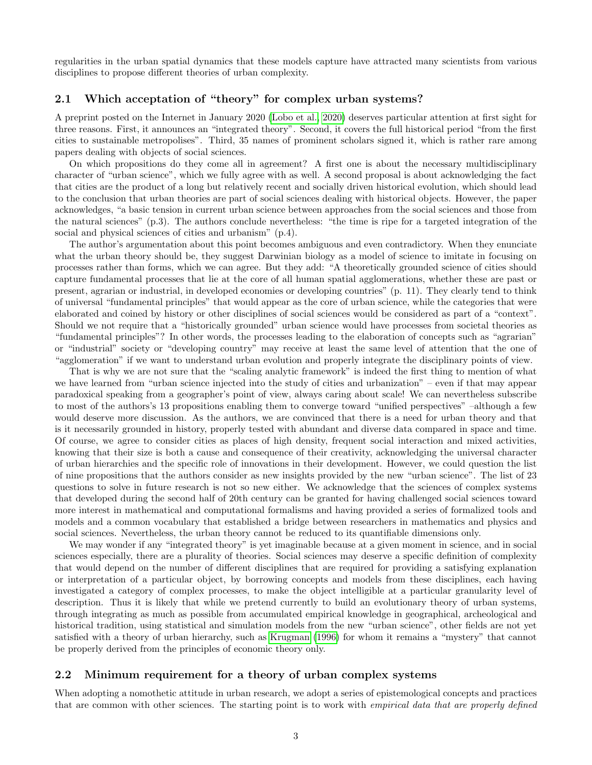regularities in the urban spatial dynamics that these models capture have attracted many scientists from various disciplines to propose different theories of urban complexity.

#### 2.1 Which acceptation of "theory" for complex urban systems?

A preprint posted on the Internet in January 2020 [\(Lobo et al., 2020\)](#page-13-3) deserves particular attention at first sight for three reasons. First, it announces an "integrated theory". Second, it covers the full historical period "from the first cities to sustainable metropolises". Third, 35 names of prominent scholars signed it, which is rather rare among papers dealing with objects of social sciences.

On which propositions do they come all in agreement? A first one is about the necessary multidisciplinary character of "urban science", which we fully agree with as well. A second proposal is about acknowledging the fact that cities are the product of a long but relatively recent and socially driven historical evolution, which should lead to the conclusion that urban theories are part of social sciences dealing with historical objects. However, the paper acknowledges, "a basic tension in current urban science between approaches from the social sciences and those from the natural sciences" (p.3). The authors conclude nevertheless: "the time is ripe for a targeted integration of the social and physical sciences of cities and urbanism" (p.4).

The author's argumentation about this point becomes ambiguous and even contradictory. When they enunciate what the urban theory should be, they suggest Darwinian biology as a model of science to imitate in focusing on processes rather than forms, which we can agree. But they add: "A theoretically grounded science of cities should capture fundamental processes that lie at the core of all human spatial agglomerations, whether these are past or present, agrarian or industrial, in developed economies or developing countries" (p. 11). They clearly tend to think of universal "fundamental principles" that would appear as the core of urban science, while the categories that were elaborated and coined by history or other disciplines of social sciences would be considered as part of a "context". Should we not require that a "historically grounded" urban science would have processes from societal theories as "fundamental principles"? In other words, the processes leading to the elaboration of concepts such as "agrarian" or "industrial" society or "developing country" may receive at least the same level of attention that the one of "agglomeration" if we want to understand urban evolution and properly integrate the disciplinary points of view.

That is why we are not sure that the "scaling analytic framework" is indeed the first thing to mention of what we have learned from "urban science injected into the study of cities and urbanization" – even if that may appear paradoxical speaking from a geographer's point of view, always caring about scale! We can nevertheless subscribe to most of the authors's 13 propositions enabling them to converge toward "unified perspectives" –although a few would deserve more discussion. As the authors, we are convinced that there is a need for urban theory and that is it necessarily grounded in history, properly tested with abundant and diverse data compared in space and time. Of course, we agree to consider cities as places of high density, frequent social interaction and mixed activities, knowing that their size is both a cause and consequence of their creativity, acknowledging the universal character of urban hierarchies and the specific role of innovations in their development. However, we could question the list of nine propositions that the authors consider as new insights provided by the new "urban science". The list of 23 questions to solve in future research is not so new either. We acknowledge that the sciences of complex systems that developed during the second half of 20th century can be granted for having challenged social sciences toward more interest in mathematical and computational formalisms and having provided a series of formalized tools and models and a common vocabulary that established a bridge between researchers in mathematics and physics and social sciences. Nevertheless, the urban theory cannot be reduced to its quantifiable dimensions only.

We may wonder if any "integrated theory" is yet imaginable because at a given moment in science, and in social sciences especially, there are a plurality of theories. Social sciences may deserve a specific definition of complexity that would depend on the number of different disciplines that are required for providing a satisfying explanation or interpretation of a particular object, by borrowing concepts and models from these disciplines, each having investigated a category of complex processes, to make the object intelligible at a particular granularity level of description. Thus it is likely that while we pretend currently to build an evolutionary theory of urban systems, through integrating as much as possible from accumulated empirical knowledge in geographical, archeological and historical tradition, using statistical and simulation models from the new "urban science", other fields are not yet satisfied with a theory of urban hierarchy, such as [Krugman](#page-13-2) [\(1996\)](#page-13-2) for whom it remains a "mystery" that cannot be properly derived from the principles of economic theory only.

#### 2.2 Minimum requirement for a theory of urban complex systems

When adopting a nomothetic attitude in urban research, we adopt a series of epistemological concepts and practices that are common with other sciences. The starting point is to work with *empirical data that are properly defined*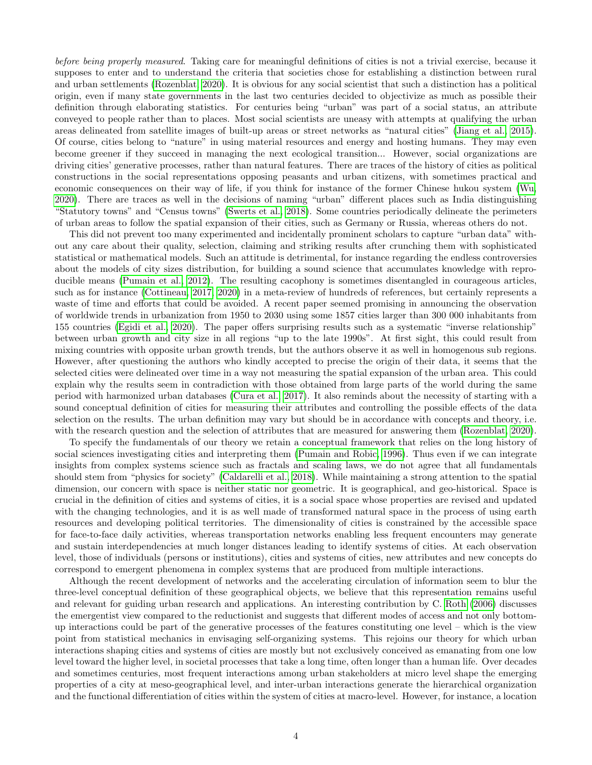before being properly measured. Taking care for meaningful definitions of cities is not a trivial exercise, because it supposes to enter and to understand the criteria that societies chose for establishing a distinction between rural and urban settlements [\(Rozenblat, 2020\)](#page-15-4). It is obvious for any social scientist that such a distinction has a political origin, even if many state governments in the last two centuries decided to objectivize as much as possible their definition through elaborating statistics. For centuries being "urban" was part of a social status, an attribute conveyed to people rather than to places. Most social scientists are uneasy with attempts at qualifying the urban areas delineated from satellite images of built-up areas or street networks as "natural cities" [\(Jiang et al., 2015\)](#page-13-4). Of course, cities belong to "nature" in using material resources and energy and hosting humans. They may even become greener if they succeed in managing the next ecological transition... However, social organizations are driving cities' generative processes, rather than natural features. There are traces of the history of cities as political constructions in the social representations opposing peasants and urban citizens, with sometimes practical and economic consequences on their way of life, if you think for instance of the former Chinese hukou system [\(Wu,](#page-15-2) [2020\)](#page-15-2). There are traces as well in the decisions of naming "urban" different places such as India distinguishing "Statutory towns" and "Census towns" [\(Swerts et al., 2018\)](#page-15-5). Some countries periodically delineate the perimeters of urban areas to follow the spatial expansion of their cities, such as Germany or Russia, whereas others do not.

This did not prevent too many experimented and incidentally prominent scholars to capture "urban data" without any care about their quality, selection, claiming and striking results after crunching them with sophisticated statistical or mathematical models. Such an attitude is detrimental, for instance regarding the endless controversies about the models of city sizes distribution, for building a sound science that accumulates knowledge with reproducible means [\(Pumain et al., 2012\)](#page-14-12). The resulting cacophony is sometimes disentangled in courageous articles, such as for instance [\(Cottineau, 2017,](#page-12-3) [2020\)](#page-12-4) in a meta-review of hundreds of references, but certainly represents a waste of time and efforts that could be avoided. A recent paper seemed promising in announcing the observation of worldwide trends in urbanization from 1950 to 2030 using some 1857 cities larger than 300 000 inhabitants from 155 countries [\(Egidi et al., 2020\)](#page-13-5). The paper offers surprising results such as a systematic "inverse relationship" between urban growth and city size in all regions "up to the late 1990s". At first sight, this could result from mixing countries with opposite urban growth trends, but the authors observe it as well in homogenous sub regions. However, after questioning the authors who kindly accepted to precise the origin of their data, it seems that the selected cities were delineated over time in a way not measuring the spatial expansion of the urban area. This could explain why the results seem in contradiction with those obtained from large parts of the world during the same period with harmonized urban databases [\(Cura et al., 2017\)](#page-13-0). It also reminds about the necessity of starting with a sound conceptual definition of cities for measuring their attributes and controlling the possible effects of the data selection on the results. The urban definition may vary but should be in accordance with concepts and theory, i.e. with the research question and the selection of attributes that are measured for answering them [\(Rozenblat, 2020\)](#page-15-4).

To specify the fundamentals of our theory we retain a conceptual framework that relies on the long history of social sciences investigating cities and interpreting them [\(Pumain and Robic, 1996\)](#page-14-13). Thus even if we can integrate insights from complex systems science such as fractals and scaling laws, we do not agree that all fundamentals should stem from "physics for society" [\(Caldarelli et al., 2018\)](#page-12-5). While maintaining a strong attention to the spatial dimension, our concern with space is neither static nor geometric. It is geographical, and geo-historical. Space is crucial in the definition of cities and systems of cities, it is a social space whose properties are revised and updated with the changing technologies, and it is as well made of transformed natural space in the process of using earth resources and developing political territories. The dimensionality of cities is constrained by the accessible space for face-to-face daily activities, whereas transportation networks enabling less frequent encounters may generate and sustain interdependencies at much longer distances leading to identify systems of cities. At each observation level, those of individuals (persons or institutions), cities and systems of cities, new attributes and new concepts do correspond to emergent phenomena in complex systems that are produced from multiple interactions.

Although the recent development of networks and the accelerating circulation of information seem to blur the three-level conceptual definition of these geographical objects, we believe that this representation remains useful and relevant for guiding urban research and applications. An interesting contribution by C. [Roth](#page-15-6) [\(2006\)](#page-15-6) discusses the emergentist view compared to the reductionist and suggests that different modes of access and not only bottomup interactions could be part of the generative processes of the features constituting one level – which is the view point from statistical mechanics in envisaging self-organizing systems. This rejoins our theory for which urban interactions shaping cities and systems of cities are mostly but not exclusively conceived as emanating from one low level toward the higher level, in societal processes that take a long time, often longer than a human life. Over decades and sometimes centuries, most frequent interactions among urban stakeholders at micro level shape the emerging properties of a city at meso-geographical level, and inter-urban interactions generate the hierarchical organization and the functional differentiation of cities within the system of cities at macro-level. However, for instance, a location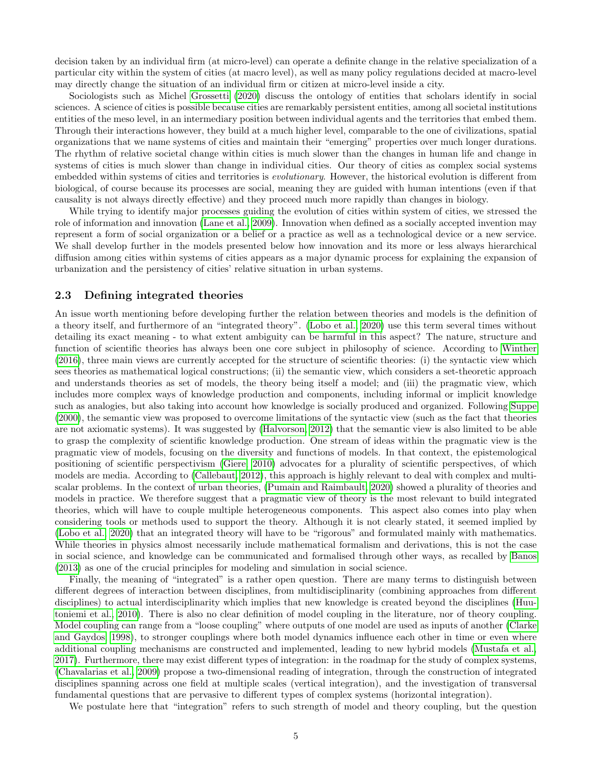decision taken by an individual firm (at micro-level) can operate a definite change in the relative specialization of a particular city within the system of cities (at macro level), as well as many policy regulations decided at macro-level may directly change the situation of an individual firm or citizen at micro-level inside a city.

Sociologists such as Michel [Grossetti](#page-13-6) [\(2020\)](#page-13-6) discuss the ontology of entities that scholars identify in social sciences. A science of cities is possible because cities are remarkably persistent entities, among all societal institutions entities of the meso level, in an intermediary position between individual agents and the territories that embed them. Through their interactions however, they build at a much higher level, comparable to the one of civilizations, spatial organizations that we name systems of cities and maintain their "emerging" properties over much longer durations. The rhythm of relative societal change within cities is much slower than the changes in human life and change in systems of cities is much slower than change in individual cities. Our theory of cities as complex social systems embedded within systems of cities and territories is *evolutionary*. However, the historical evolution is different from biological, of course because its processes are social, meaning they are guided with human intentions (even if that causality is not always directly effective) and they proceed much more rapidly than changes in biology.

While trying to identify major processes guiding the evolution of cities within system of cities, we stressed the role of information and innovation [\(Lane et al., 2009\)](#page-13-7). Innovation when defined as a socially accepted invention may represent a form of social organization or a belief or a practice as well as a technological device or a new service. We shall develop further in the models presented below how innovation and its more or less always hierarchical diffusion among cities within systems of cities appears as a major dynamic process for explaining the expansion of urbanization and the persistency of cities' relative situation in urban systems.

#### 2.3 Defining integrated theories

An issue worth mentioning before developing further the relation between theories and models is the definition of a theory itself, and furthermore of an "integrated theory". [\(Lobo et al., 2020\)](#page-13-3) use this term several times without detailing its exact meaning - to what extent ambiguity can be harmful in this aspect? The nature, structure and function of scientific theories has always been one core subject in philosophy of science. According to [Winther](#page-15-7) [\(2016\)](#page-15-7), three main views are currently accepted for the structure of scientific theories: (i) the syntactic view which sees theories as mathematical logical constructions; (ii) the semantic view, which considers a set-theoretic approach and understands theories as set of models, the theory being itself a model; and (iii) the pragmatic view, which includes more complex ways of knowledge production and components, including informal or implicit knowledge such as analogies, but also taking into account how knowledge is socially produced and organized. Following [Suppe](#page-15-8) [\(2000\)](#page-15-8), the semantic view was proposed to overcome limitations of the syntactic view (such as the fact that theories are not axiomatic systems). It was suggested by [\(Halvorson, 2012\)](#page-13-8) that the semantic view is also limited to be able to grasp the complexity of scientific knowledge production. One stream of ideas within the pragmatic view is the pragmatic view of models, focusing on the diversity and functions of models. In that context, the epistemological positioning of scientific perspectivism [\(Giere, 2010\)](#page-13-9) advocates for a plurality of scientific perspectives, of which models are media. According to [\(Callebaut, 2012\)](#page-12-6), this approach is highly relevant to deal with complex and multiscalar problems. In the context of urban theories, [\(Pumain and Raimbault, 2020\)](#page-14-14) showed a plurality of theories and models in practice. We therefore suggest that a pragmatic view of theory is the most relevant to build integrated theories, which will have to couple multiple heterogeneous components. This aspect also comes into play when considering tools or methods used to support the theory. Although it is not clearly stated, it seemed implied by [\(Lobo et al., 2020\)](#page-13-3) that an integrated theory will have to be "rigorous" and formulated mainly with mathematics. While theories in physics almost necessarily include mathematical formalism and derivations, this is not the case in social science, and knowledge can be communicated and formalised through other ways, as recalled by [Banos](#page-12-7) [\(2013\)](#page-12-7) as one of the crucial principles for modeling and simulation in social science.

Finally, the meaning of "integrated" is a rather open question. There are many terms to distinguish between different degrees of interaction between disciplines, from multidisciplinarity (combining approaches from different disciplines) to actual interdisciplinarity which implies that new knowledge is created beyond the disciplines [\(Huu](#page-13-10)[toniemi et al., 2010\)](#page-13-10). There is also no clear definition of model coupling in the literature, nor of theory coupling. Model coupling can range from a "loose coupling" where outputs of one model are used as inputs of another [\(Clarke](#page-12-8) [and Gaydos, 1998\)](#page-12-8), to stronger couplings where both model dynamics influence each other in time or even where additional coupling mechanisms are constructed and implemented, leading to new hybrid models [\(Mustafa et al.,](#page-13-11) [2017\)](#page-13-11). Furthermore, there may exist different types of integration: in the roadmap for the study of complex systems, [\(Chavalarias et al., 2009\)](#page-12-9) propose a two-dimensional reading of integration, through the construction of integrated disciplines spanning across one field at multiple scales (vertical integration), and the investigation of transversal fundamental questions that are pervasive to different types of complex systems (horizontal integration).

We postulate here that "integration" refers to such strength of model and theory coupling, but the question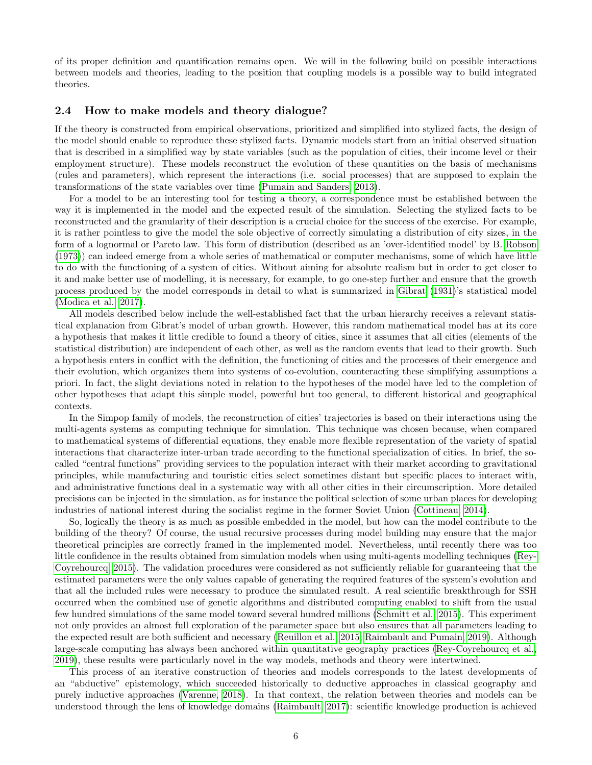of its proper definition and quantification remains open. We will in the following build on possible interactions between models and theories, leading to the position that coupling models is a possible way to build integrated theories.

#### 2.4 How to make models and theory dialogue?

If the theory is constructed from empirical observations, prioritized and simplified into stylized facts, the design of the model should enable to reproduce these stylized facts. Dynamic models start from an initial observed situation that is described in a simplified way by state variables (such as the population of cities, their income level or their employment structure). These models reconstruct the evolution of these quantities on the basis of mechanisms (rules and parameters), which represent the interactions (i.e. social processes) that are supposed to explain the transformations of the state variables over time [\(Pumain and Sanders, 2013\)](#page-14-15).

For a model to be an interesting tool for testing a theory, a correspondence must be established between the way it is implemented in the model and the expected result of the simulation. Selecting the stylized facts to be reconstructed and the granularity of their description is a crucial choice for the success of the exercise. For example, it is rather pointless to give the model the sole objective of correctly simulating a distribution of city sizes, in the form of a lognormal or Pareto law. This form of distribution (described as an 'over-identified model' by B. [Robson](#page-15-9) [\(1973\)](#page-15-9)) can indeed emerge from a whole series of mathematical or computer mechanisms, some of which have little to do with the functioning of a system of cities. Without aiming for absolute realism but in order to get closer to it and make better use of modelling, it is necessary, for example, to go one-step further and ensure that the growth process produced by the model corresponds in detail to what is summarized in [Gibrat](#page-13-12) [\(1931\)](#page-13-12)'s statistical model [\(Modica et al., 2017\)](#page-13-13).

All models described below include the well-established fact that the urban hierarchy receives a relevant statistical explanation from Gibrat's model of urban growth. However, this random mathematical model has at its core a hypothesis that makes it little credible to found a theory of cities, since it assumes that all cities (elements of the statistical distribution) are independent of each other, as well as the random events that lead to their growth. Such a hypothesis enters in conflict with the definition, the functioning of cities and the processes of their emergence and their evolution, which organizes them into systems of co-evolution, counteracting these simplifying assumptions a priori. In fact, the slight deviations noted in relation to the hypotheses of the model have led to the completion of other hypotheses that adapt this simple model, powerful but too general, to different historical and geographical contexts.

In the Simpop family of models, the reconstruction of cities' trajectories is based on their interactions using the multi-agents systems as computing technique for simulation. This technique was chosen because, when compared to mathematical systems of differential equations, they enable more flexible representation of the variety of spatial interactions that characterize inter-urban trade according to the functional specialization of cities. In brief, the socalled "central functions" providing services to the population interact with their market according to gravitational principles, while manufacturing and touristic cities select sometimes distant but specific places to interact with, and administrative functions deal in a systematic way with all other cities in their circumscription. More detailed precisions can be injected in the simulation, as for instance the political selection of some urban places for developing industries of national interest during the socialist regime in the former Soviet Union [\(Cottineau, 2014\)](#page-12-10).

So, logically the theory is as much as possible embedded in the model, but how can the model contribute to the building of the theory? Of course, the usual recursive processes during model building may ensure that the major theoretical principles are correctly framed in the implemented model. Nevertheless, until recently there was too little confidence in the results obtained from simulation models when using multi-agents modelling techniques [\(Rey-](#page-15-10)[Coyrehourcq, 2015\)](#page-15-10). The validation procedures were considered as not sufficiently reliable for guaranteeing that the estimated parameters were the only values capable of generating the required features of the system's evolution and that all the included rules were necessary to produce the simulated result. A real scientific breakthrough for SSH occurred when the combined use of genetic algorithms and distributed computing enabled to shift from the usual few hundred simulations of the same model toward several hundred millions [\(Schmitt et al., 2015\)](#page-15-11). This experiment not only provides an almost full exploration of the parameter space but also ensures that all parameters leading to the expected result are both sufficient and necessary [\(Reuillon et al., 2015;](#page-15-12) [Raimbault and Pumain, 2019\)](#page-15-13). Although large-scale computing has always been anchored within quantitative geography practices [\(Rey-Coyrehourcq et al.,](#page-15-14) [2019\)](#page-15-14), these results were particularly novel in the way models, methods and theory were intertwined.

This process of an iterative construction of theories and models corresponds to the latest developments of an "abductive" epistemology, which succeeded historically to deductive approaches in classical geography and purely inductive approaches [\(Varenne, 2018\)](#page-15-15). In that context, the relation between theories and models can be understood through the lens of knowledge domains [\(Raimbault, 2017\)](#page-14-16): scientific knowledge production is achieved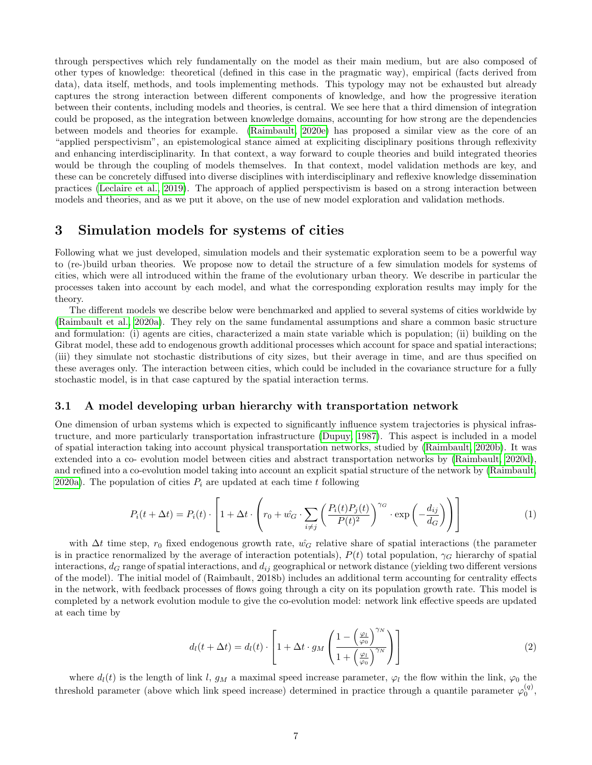through perspectives which rely fundamentally on the model as their main medium, but are also composed of other types of knowledge: theoretical (defined in this case in the pragmatic way), empirical (facts derived from data), data itself, methods, and tools implementing methods. This typology may not be exhausted but already captures the strong interaction between different components of knowledge, and how the progressive iteration between their contents, including models and theories, is central. We see here that a third dimension of integration could be proposed, as the integration between knowledge domains, accounting for how strong are the dependencies between models and theories for example. [\(Raimbault, 2020e\)](#page-14-17) has proposed a similar view as the core of an "applied perspectivism", an epistemological stance aimed at expliciting disciplinary positions through reflexivity and enhancing interdisciplinarity. In that context, a way forward to couple theories and build integrated theories would be through the coupling of models themselves. In that context, model validation methods are key, and these can be concretely diffused into diverse disciplines with interdisciplinary and reflexive knowledge dissemination practices [\(Leclaire et al., 2019\)](#page-13-14). The approach of applied perspectivism is based on a strong interaction between models and theories, and as we put it above, on the use of new model exploration and validation methods.

## 3 Simulation models for systems of cities

Following what we just developed, simulation models and their systematic exploration seem to be a powerful way to (re-)build urban theories. We propose now to detail the structure of a few simulation models for systems of cities, which were all introduced within the frame of the evolutionary urban theory. We describe in particular the processes taken into account by each model, and what the corresponding exploration results may imply for the theory.

The different models we describe below were benchmarked and applied to several systems of cities worldwide by [\(Raimbault et al., 2020a\)](#page-14-7). They rely on the same fundamental assumptions and share a common basic structure and formulation: (i) agents are cities, characterized a main state variable which is population; (ii) building on the Gibrat model, these add to endogenous growth additional processes which account for space and spatial interactions; (iii) they simulate not stochastic distributions of city sizes, but their average in time, and are thus specified on these averages only. The interaction between cities, which could be included in the covariance structure for a fully stochastic model, is in that case captured by the spatial interaction terms.

#### 3.1 A model developing urban hierarchy with transportation network

One dimension of urban systems which is expected to significantly influence system trajectories is physical infrastructure, and more particularly transportation infrastructure [\(Dupuy, 1987\)](#page-13-15). This aspect is included in a model of spatial interaction taking into account physical transportation networks, studied by [\(Raimbault, 2020b\)](#page-14-9). It was extended into a co- evolution model between cities and abstract transportation networks by [\(Raimbault, 2020d\)](#page-14-18), and refined into a co-evolution model taking into account an explicit spatial structure of the network by [\(Raimbault,](#page-14-19) [2020a\)](#page-14-19). The population of cities  $P_i$  are updated at each time t following

$$
P_i(t + \Delta t) = P_i(t) \cdot \left[ 1 + \Delta t \cdot \left( r_0 + \hat{w_G} \cdot \sum_{i \neq j} \left( \frac{P_i(t)P_j(t)}{P(t)^2} \right)^{\gamma_G} \cdot \exp\left( -\frac{d_{ij}}{d_G} \right) \right) \right]
$$
(1)

with  $\Delta t$  time step,  $r_0$  fixed endogenous growth rate,  $\hat{w}_G$  relative share of spatial interactions (the parameter is in practice renormalized by the average of interaction potentials),  $P(t)$  total population,  $\gamma_G$  hierarchy of spatial interactions,  $d_G$  range of spatial interactions, and  $d_{ij}$  geographical or network distance (yielding two different versions of the model). The initial model of (Raimbault, 2018b) includes an additional term accounting for centrality effects in the network, with feedback processes of flows going through a city on its population growth rate. This model is completed by a network evolution module to give the co-evolution model: network link effective speeds are updated at each time by

$$
d_l(t + \Delta t) = d_l(t) \cdot \left[ 1 + \Delta t \cdot g_M \left( \frac{1 - \left( \frac{\varphi_l}{\varphi_0} \right)^{\gamma_N}}{1 + \left( \frac{\varphi_l}{\varphi_0} \right)^{\gamma_N}} \right) \right]
$$
(2)

where  $d_l(t)$  is the length of link l,  $g_M$  a maximal speed increase parameter,  $\varphi_l$  the flow within the link,  $\varphi_0$  the threshold parameter (above which link speed increase) determined in practice through a quantile parameter  $\varphi_0^{(q)}$ ,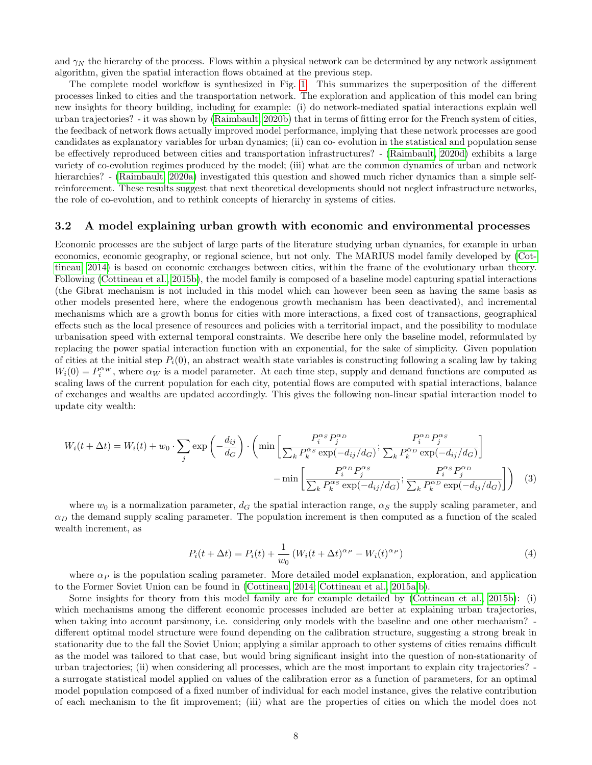and  $\gamma_N$  the hierarchy of the process. Flows within a physical network can be determined by any network assignment algorithm, given the spatial interaction flows obtained at the previous step.

The complete model workflow is synthesized in Fig. [1.](#page-8-0) This summarizes the superposition of the different processes linked to cities and the transportation network. The exploration and application of this model can bring new insights for theory building, including for example: (i) do network-mediated spatial interactions explain well urban trajectories? - it was shown by [\(Raimbault, 2020b\)](#page-14-9) that in terms of fitting error for the French system of cities, the feedback of network flows actually improved model performance, implying that these network processes are good candidates as explanatory variables for urban dynamics; (ii) can co- evolution in the statistical and population sense be effectively reproduced between cities and transportation infrastructures? - [\(Raimbault, 2020d\)](#page-14-18) exhibits a large variety of co-evolution regimes produced by the model; (iii) what are the common dynamics of urban and network hierarchies? - [\(Raimbault, 2020a\)](#page-14-19) investigated this question and showed much richer dynamics than a simple selfreinforcement. These results suggest that next theoretical developments should not neglect infrastructure networks, the role of co-evolution, and to rethink concepts of hierarchy in systems of cities.

#### 3.2 A model explaining urban growth with economic and environmental processes

Economic processes are the subject of large parts of the literature studying urban dynamics, for example in urban economics, economic geography, or regional science, but not only. The MARIUS model family developed by [\(Cot](#page-12-10)[tineau, 2014\)](#page-12-10) is based on economic exchanges between cities, within the frame of the evolutionary urban theory. Following [\(Cottineau et al., 2015b\)](#page-13-16), the model family is composed of a baseline model capturing spatial interactions (the Gibrat mechanism is not included in this model which can however been seen as having the same basis as other models presented here, where the endogenous growth mechanism has been deactivated), and incremental mechanisms which are a growth bonus for cities with more interactions, a fixed cost of transactions, geographical effects such as the local presence of resources and policies with a territorial impact, and the possibility to modulate urbanisation speed with external temporal constraints. We describe here only the baseline model, reformulated by replacing the power spatial interaction function with an exponential, for the sake of simplicity. Given population of cities at the initial step  $P_i(0)$ , an abstract wealth state variables is constructing following a scaling law by taking  $W_i(0) = P_i^{\alpha w}$ , where  $\alpha_W$  is a model parameter. At each time step, supply and demand functions are computed as scaling laws of the current population for each city, potential flows are computed with spatial interactions, balance of exchanges and wealths are updated accordingly. This gives the following non-linear spatial interaction model to update city wealth:

$$
W_i(t + \Delta t) = W_i(t) + w_0 \cdot \sum_j \exp\left(-\frac{d_{ij}}{d_G}\right) \cdot \left(\min\left[\frac{P_i^{\alpha_S} P_j^{\alpha_D}}{\sum_k P_k^{\alpha_S} \exp(-d_{ij}/d_G)}; \frac{P_i^{\alpha_D} P_j^{\alpha_S}}{\sum_k P_k^{\alpha_D} \exp(-d_{ij}/d_G)}\right] - \min\left[\frac{P_i^{\alpha_D} P_j^{\alpha_S}}{\sum_k P_k^{\alpha_S} \exp(-d_{ij}/d_G)}; \frac{P_i^{\alpha_S} P_j^{\alpha_D}}{\sum_k P_k^{\alpha_D} \exp(-d_{ij}/d_G)}\right]\right) \tag{3}
$$

where  $w_0$  is a normalization parameter,  $d_G$  the spatial interaction range,  $\alpha_S$  the supply scaling parameter, and  $\alpha_D$  the demand supply scaling parameter. The population increment is then computed as a function of the scaled wealth increment, as

$$
P_i(t + \Delta t) = P_i(t) + \frac{1}{w_0} \left( W_i(t + \Delta t)^{\alpha_P} - W_i(t)^{\alpha_P} \right)
$$
\n<sup>(4)</sup>

where  $\alpha_P$  is the population scaling parameter. More detailed model explanation, exploration, and application to the Former Soviet Union can be found in [\(Cottineau, 2014;](#page-12-10) [Cottineau et al., 2015a,](#page-12-2)[b\)](#page-13-16).

Some insights for theory from this model family are for example detailed by [\(Cottineau et al., 2015b\)](#page-13-16): (i) which mechanisms among the different economic processes included are better at explaining urban trajectories, when taking into account parsimony, i.e. considering only models with the baseline and one other mechanism? different optimal model structure were found depending on the calibration structure, suggesting a strong break in stationarity due to the fall the Soviet Union; applying a similar approach to other systems of cities remains difficult as the model was tailored to that case, but would bring significant insight into the question of non-stationarity of urban trajectories; (ii) when considering all processes, which are the most important to explain city trajectories? a surrogate statistical model applied on values of the calibration error as a function of parameters, for an optimal model population composed of a fixed number of individual for each model instance, gives the relative contribution of each mechanism to the fit improvement; (iii) what are the properties of cities on which the model does not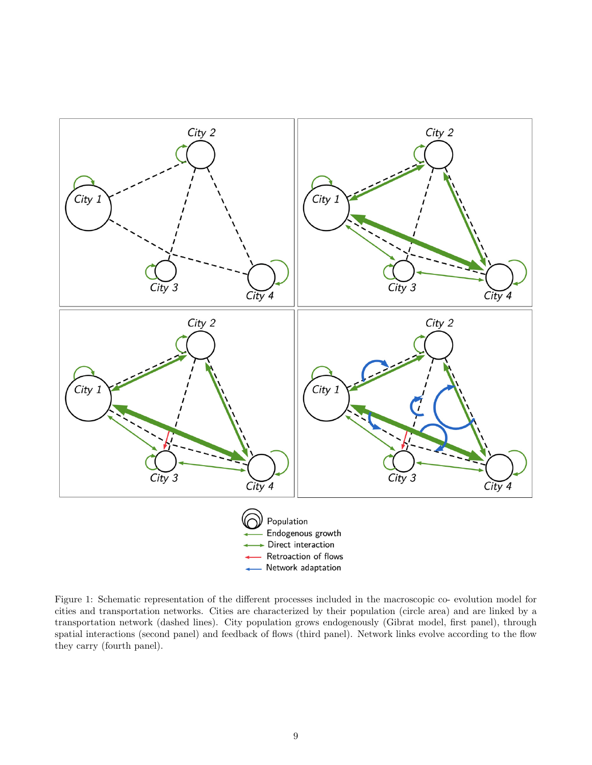

<span id="page-8-0"></span>Figure 1: Schematic representation of the different processes included in the macroscopic co- evolution model for cities and transportation networks. Cities are characterized by their population (circle area) and are linked by a transportation network (dashed lines). City population grows endogenously (Gibrat model, first panel), through spatial interactions (second panel) and feedback of flows (third panel). Network links evolve according to the flow they carry (fourth panel).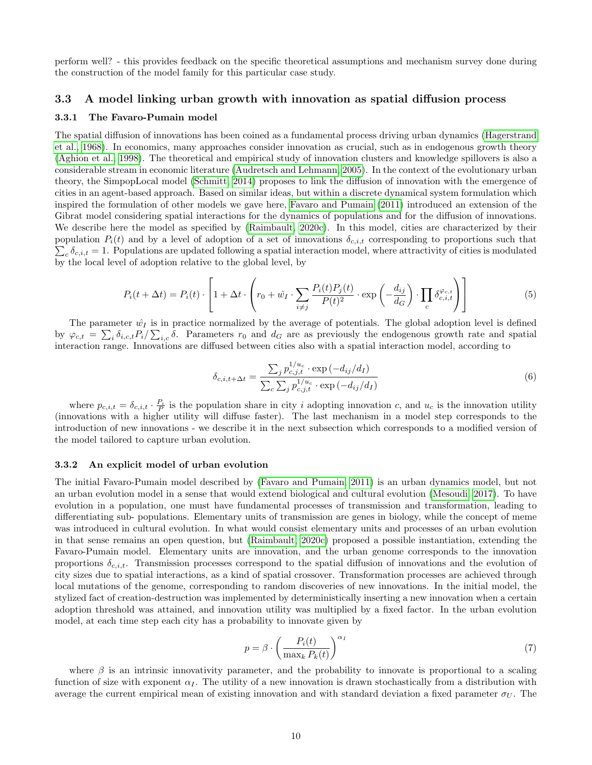perform well? - this provides feedback on the specific theoretical assumptions and mechanism survey done during the construction of the model family for this particular case study.

#### 3.3 A model linking urban growth with innovation as spatial diffusion process

#### 3.3.1 The Favaro-Pumain model

The spatial diffusion of innovations has been coined as a fundamental process driving urban dynamics [\(Hagerstrand](#page-13-17) [et al., 1968\)](#page-13-17). In economics, many approaches consider innovation as crucial, such as in endogenous growth theory [\(Aghion et al., 1998\)](#page-12-11). The theoretical and empirical study of innovation clusters and knowledge spillovers is also a considerable stream in economic literature [\(Audretsch and Lehmann, 2005\)](#page-12-12). In the context of the evolutionary urban theory, the SimpopLocal model [\(Schmitt, 2014\)](#page-15-16) proposes to link the diffusion of innovation with the emergence of cities in an agent-based approach. Based on similar ideas, but within a discrete dynamical system formulation which inspired the formulation of other models we gave here, [Favaro and Pumain](#page-13-18) [\(2011\)](#page-13-18) introduced an extension of the Gibrat model considering spatial interactions for the dynamics of populations and for the diffusion of innovations. We describe here the model as specified by [\(Raimbault, 2020c\)](#page-14-20). In this model, cities are characterized by their  $\sum_c \delta_{c,i,t} = 1$ . Populations are updated following a spatial interaction model, where attractivity of cities is modulated population  $P_i(t)$  and by a level of adoption of a set of innovations  $\delta_{c,i,t}$  corresponding to proportions such that by the local level of adoption relative to the global level, by

$$
P_i(t + \Delta t) = P_i(t) \cdot \left[ 1 + \Delta t \cdot \left( r_0 + \hat{w}_I \cdot \sum_{i \neq j} \frac{P_i(t) P_j(t)}{P(t)^2} \cdot \exp\left( -\frac{d_{ij}}{d_G} \right) \cdot \prod_c \delta_{c,i,t}^{\varphi_{c,t}} \right) \right]
$$
(5)

The parameter  $\hat{w}_I$  is in practice normalized by the average of potentials. The global adoption level is defined by  $\varphi_{c,t} = \sum_i \delta_{i,c,t} P_i / \sum_{i,c} \delta$ . Parameters  $r_0$  and  $d_G$  are as previously the endogenous growth rate and spatial interaction range. Innovations are diffused between cities also with a spatial interaction model, according to

$$
\delta_{c,i,t+\Delta t} = \frac{\sum_{j} p_{c,j,t}^{1/u_c} \cdot \exp\left(-d_{ij}/d_I\right)}{\sum_{c} \sum_{j} p_{c,j,t}^{1/u_c} \cdot \exp\left(-d_{ij}/d_I\right)}
$$
(6)

where  $p_{c,i,t} = \delta_{c,i,t} \cdot \frac{P_i}{P}$  is the population share in city i adopting innovation c, and  $u_c$  is the innovation utility (innovations with a higher utility will diffuse faster). The last mechanism in a model step corresponds to the introduction of new innovations - we describe it in the next subsection which corresponds to a modified version of the model tailored to capture urban evolution.

#### 3.3.2 An explicit model of urban evolution

The initial Favaro-Pumain model described by [\(Favaro and Pumain, 2011\)](#page-13-18) is an urban dynamics model, but not an urban evolution model in a sense that would extend biological and cultural evolution [\(Mesoudi, 2017\)](#page-13-19). To have evolution in a population, one must have fundamental processes of transmission and transformation, leading to differentiating sub- populations. Elementary units of transmission are genes in biology, while the concept of meme was introduced in cultural evolution. In what would consist elementary units and processes of an urban evolution in that sense remains an open question, but [\(Raimbault, 2020c\)](#page-14-20) proposed a possible instantiation, extending the Favaro-Pumain model. Elementary units are innovation, and the urban genome corresponds to the innovation proportions  $\delta_{c,i,t}$ . Transmission processes correspond to the spatial diffusion of innovations and the evolution of city sizes due to spatial interactions, as a kind of spatial crossover. Transformation processes are achieved through local mutations of the genome, corresponding to random discoveries of new innovations. In the initial model, the stylized fact of creation-destruction was implemented by deterministically inserting a new innovation when a certain adoption threshold was attained, and innovation utility was multiplied by a fixed factor. In the urban evolution model, at each time step each city has a probability to innovate given by

$$
p = \beta \cdot \left(\frac{P_i(t)}{\max_k P_k(t)}\right)^{\alpha_I} \tag{7}
$$

where  $\beta$  is an intrinsic innovativity parameter, and the probability to innovate is proportional to a scaling function of size with exponent  $\alpha<sub>I</sub>$ . The utility of a new innovation is drawn stochastically from a distribution with average the current empirical mean of existing innovation and with standard deviation a fixed parameter  $\sigma_U$ . The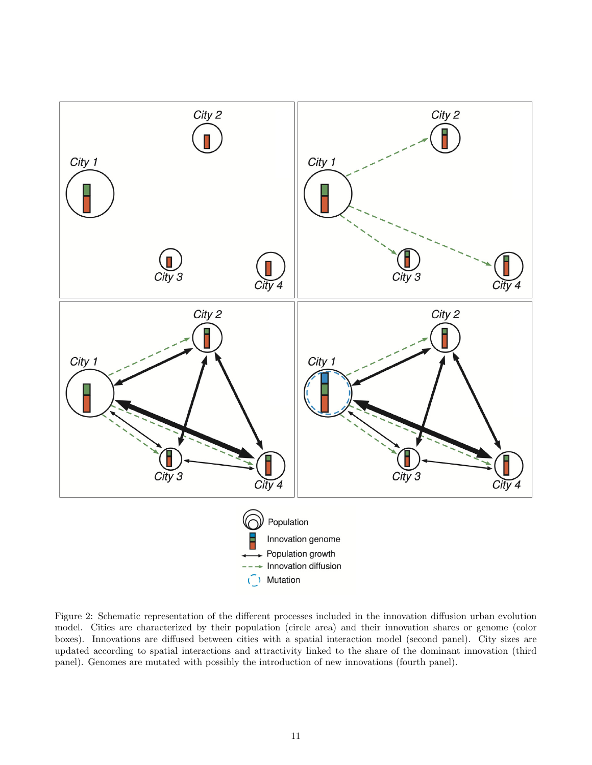

<span id="page-10-0"></span>Figure 2: Schematic representation of the different processes included in the innovation diffusion urban evolution model. Cities are characterized by their population (circle area) and their innovation shares or genome (color boxes). Innovations are diffused between cities with a spatial interaction model (second panel). City sizes are updated according to spatial interactions and attractivity linked to the share of the dominant innovation (third panel). Genomes are mutated with possibly the introduction of new innovations (fourth panel).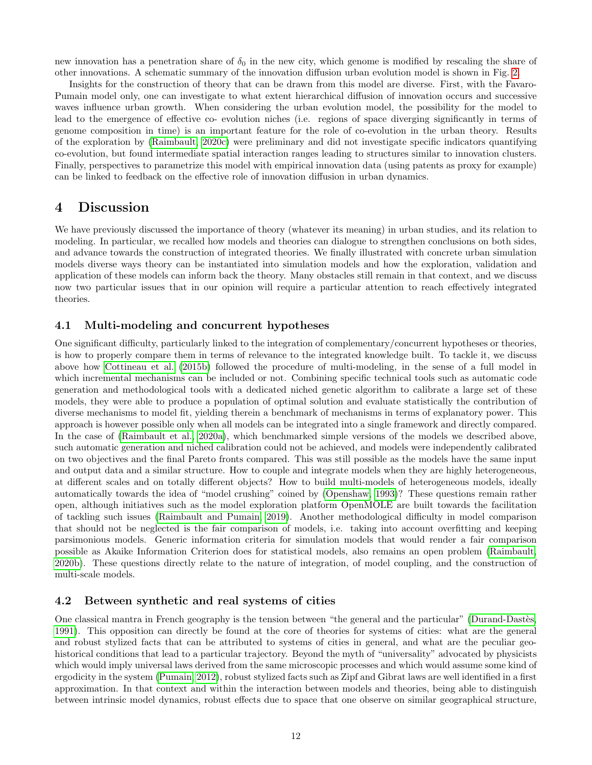new innovation has a penetration share of  $\delta_0$  in the new city, which genome is modified by rescaling the share of other innovations. A schematic summary of the innovation diffusion urban evolution model is shown in Fig. [2.](#page-10-0)

Insights for the construction of theory that can be drawn from this model are diverse. First, with the Favaro-Pumain model only, one can investigate to what extent hierarchical diffusion of innovation occurs and successive waves influence urban growth. When considering the urban evolution model, the possibility for the model to lead to the emergence of effective co- evolution niches (i.e. regions of space diverging significantly in terms of genome composition in time) is an important feature for the role of co-evolution in the urban theory. Results of the exploration by [\(Raimbault, 2020c\)](#page-14-20) were preliminary and did not investigate specific indicators quantifying co-evolution, but found intermediate spatial interaction ranges leading to structures similar to innovation clusters. Finally, perspectives to parametrize this model with empirical innovation data (using patents as proxy for example) can be linked to feedback on the effective role of innovation diffusion in urban dynamics.

## 4 Discussion

We have previously discussed the importance of theory (whatever its meaning) in urban studies, and its relation to modeling. In particular, we recalled how models and theories can dialogue to strengthen conclusions on both sides, and advance towards the construction of integrated theories. We finally illustrated with concrete urban simulation models diverse ways theory can be instantiated into simulation models and how the exploration, validation and application of these models can inform back the theory. Many obstacles still remain in that context, and we discuss now two particular issues that in our opinion will require a particular attention to reach effectively integrated theories.

## 4.1 Multi-modeling and concurrent hypotheses

One significant difficulty, particularly linked to the integration of complementary/concurrent hypotheses or theories, is how to properly compare them in terms of relevance to the integrated knowledge built. To tackle it, we discuss above how [Cottineau et al.](#page-13-16) [\(2015b\)](#page-13-16) followed the procedure of multi-modeling, in the sense of a full model in which incremental mechanisms can be included or not. Combining specific technical tools such as automatic code generation and methodological tools with a dedicated niched genetic algorithm to calibrate a large set of these models, they were able to produce a population of optimal solution and evaluate statistically the contribution of diverse mechanisms to model fit, yielding therein a benchmark of mechanisms in terms of explanatory power. This approach is however possible only when all models can be integrated into a single framework and directly compared. In the case of [\(Raimbault et al., 2020a\)](#page-14-7), which benchmarked simple versions of the models we described above, such automatic generation and niched calibration could not be achieved, and models were independently calibrated on two objectives and the final Pareto fronts compared. This was still possible as the models have the same input and output data and a similar structure. How to couple and integrate models when they are highly heterogeneous, at different scales and on totally different objects? How to build multi-models of heterogeneous models, ideally automatically towards the idea of "model crushing" coined by [\(Openshaw, 1993\)](#page-14-21)? These questions remain rather open, although initiatives such as the model exploration platform OpenMOLE are built towards the facilitation of tackling such issues [\(Raimbault and Pumain, 2019\)](#page-15-13). Another methodological difficulty in model comparison that should not be neglected is the fair comparison of models, i.e. taking into account overfitting and keeping parsimonious models. Generic information criteria for simulation models that would render a fair comparison possible as Akaike Information Criterion does for statistical models, also remains an open problem [\(Raimbault,](#page-14-9) [2020b\)](#page-14-9). These questions directly relate to the nature of integration, of model coupling, and the construction of multi-scale models.

### 4.2 Between synthetic and real systems of cities

One classical mantra in French geography is the tension between "the general and the particular" (Durand-Dastès, [1991\)](#page-13-20). This opposition can directly be found at the core of theories for systems of cities: what are the general and robust stylized facts that can be attributed to systems of cities in general, and what are the peculiar geohistorical conditions that lead to a particular trajectory. Beyond the myth of "universality" advocated by physicists which would imply universal laws derived from the same microscopic processes and which would assume some kind of ergodicity in the system [\(Pumain, 2012\)](#page-14-22), robust stylized facts such as Zipf and Gibrat laws are well identified in a first approximation. In that context and within the interaction between models and theories, being able to distinguish between intrinsic model dynamics, robust effects due to space that one observe on similar geographical structure,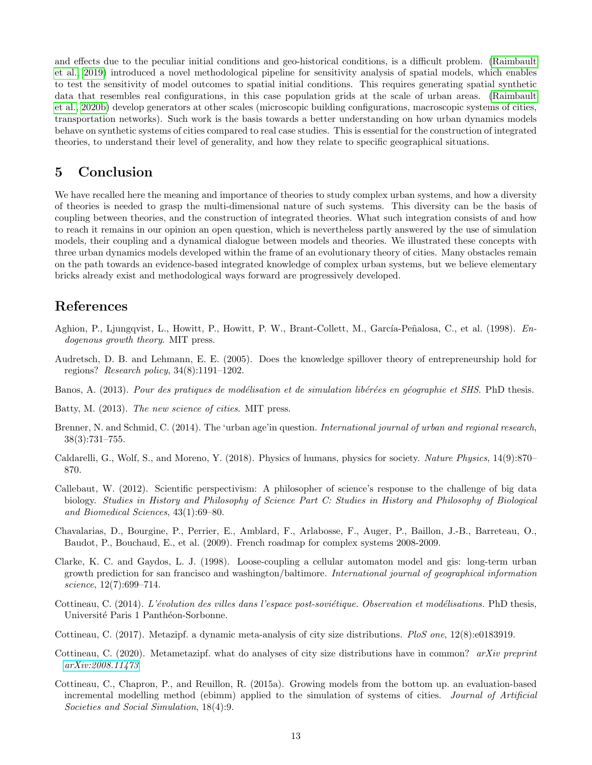and effects due to the peculiar initial conditions and geo-historical conditions, is a difficult problem. [\(Raimbault](#page-14-23) [et al., 2019\)](#page-14-23) introduced a novel methodological pipeline for sensitivity analysis of spatial models, which enables to test the sensitivity of model outcomes to spatial initial conditions. This requires generating spatial synthetic data that resembles real configurations, in this case population grids at the scale of urban areas. [\(Raimbault](#page-15-17) [et al., 2020b\)](#page-15-17) develop generators at other scales (microscopic building configurations, macroscopic systems of cities, transportation networks). Such work is the basis towards a better understanding on how urban dynamics models behave on synthetic systems of cities compared to real case studies. This is essential for the construction of integrated theories, to understand their level of generality, and how they relate to specific geographical situations.

## 5 Conclusion

We have recalled here the meaning and importance of theories to study complex urban systems, and how a diversity of theories is needed to grasp the multi-dimensional nature of such systems. This diversity can be the basis of coupling between theories, and the construction of integrated theories. What such integration consists of and how to reach it remains in our opinion an open question, which is nevertheless partly answered by the use of simulation models, their coupling and a dynamical dialogue between models and theories. We illustrated these concepts with three urban dynamics models developed within the frame of an evolutionary theory of cities. Many obstacles remain on the path towards an evidence-based integrated knowledge of complex urban systems, but we believe elementary bricks already exist and methodological ways forward are progressively developed.

## References

- <span id="page-12-11"></span>Aghion, P., Ljungqvist, L., Howitt, P., Howitt, P. W., Brant-Collett, M., García-Peñalosa, C., et al. (1998). Endogenous growth theory. MIT press.
- <span id="page-12-12"></span>Audretsch, D. B. and Lehmann, E. E. (2005). Does the knowledge spillover theory of entrepreneurship hold for regions? Research policy, 34(8):1191–1202.
- <span id="page-12-7"></span>Banos, A. (2013). Pour des pratiques de modélisation et de simulation libérées en géographie et SHS. PhD thesis.
- <span id="page-12-1"></span>Batty, M. (2013). The new science of cities. MIT press.
- <span id="page-12-0"></span>Brenner, N. and Schmid, C. (2014). The 'urban age'in question. *International journal of urban and regional research*, 38(3):731–755.
- <span id="page-12-5"></span>Caldarelli, G., Wolf, S., and Moreno, Y. (2018). Physics of humans, physics for society. Nature Physics, 14(9):870– 870.
- <span id="page-12-6"></span>Callebaut, W. (2012). Scientific perspectivism: A philosopher of science's response to the challenge of big data biology. Studies in History and Philosophy of Science Part C: Studies in History and Philosophy of Biological and Biomedical Sciences, 43(1):69–80.
- <span id="page-12-9"></span>Chavalarias, D., Bourgine, P., Perrier, E., Amblard, F., Arlabosse, F., Auger, P., Baillon, J.-B., Barreteau, O., Baudot, P., Bouchaud, E., et al. (2009). French roadmap for complex systems 2008-2009.
- <span id="page-12-8"></span>Clarke, K. C. and Gaydos, L. J. (1998). Loose-coupling a cellular automaton model and gis: long-term urban growth prediction for san francisco and washington/baltimore. International journal of geographical information science, 12(7):699–714.
- <span id="page-12-10"></span>Cottineau, C. (2014). L'évolution des villes dans l'espace post-soviétique. Observation et modélisations. PhD thesis, Université Paris 1 Panthéon-Sorbonne.
- <span id="page-12-3"></span>Cottineau, C. (2017). Metazipf. a dynamic meta-analysis of city size distributions. PloS one, 12(8):e0183919.
- <span id="page-12-4"></span>Cottineau, C. (2020). Metametazipf. what do analyses of city size distributions have in common? arXiv preprint [arXiv:2008.11473](http://arxiv.org/abs/2008.11473).
- <span id="page-12-2"></span>Cottineau, C., Chapron, P., and Reuillon, R. (2015a). Growing models from the bottom up. an evaluation-based incremental modelling method (ebimm) applied to the simulation of systems of cities. Journal of Artificial Societies and Social Simulation, 18(4):9.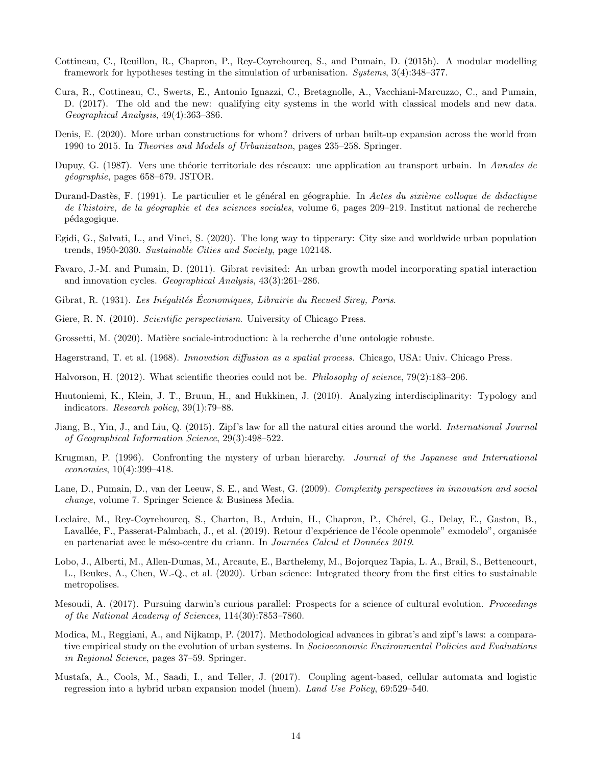- <span id="page-13-16"></span>Cottineau, C., Reuillon, R., Chapron, P., Rey-Coyrehourcq, S., and Pumain, D. (2015b). A modular modelling framework for hypotheses testing in the simulation of urbanisation. Systems, 3(4):348–377.
- <span id="page-13-0"></span>Cura, R., Cottineau, C., Swerts, E., Antonio Ignazzi, C., Bretagnolle, A., Vacchiani-Marcuzzo, C., and Pumain, D. (2017). The old and the new: qualifying city systems in the world with classical models and new data. Geographical Analysis, 49(4):363–386.
- <span id="page-13-1"></span>Denis, E. (2020). More urban constructions for whom? drivers of urban built-up expansion across the world from 1990 to 2015. In Theories and Models of Urbanization, pages 235–258. Springer.
- <span id="page-13-15"></span>Dupuy, G. (1987). Vers une théorie territoriale des réseaux: une application au transport urbain. In Annales de g´eographie, pages 658–679. JSTOR.
- <span id="page-13-20"></span>Durand-Dastès, F. (1991). Le particulier et le général en géographie. In Actes du sixième colloque de didactique de l'histoire, de la géographie et des sciences sociales, volume 6, pages 209–219. Institut national de recherche p´edagogique.
- <span id="page-13-5"></span>Egidi, G., Salvati, L., and Vinci, S. (2020). The long way to tipperary: City size and worldwide urban population trends, 1950-2030. Sustainable Cities and Society, page 102148.
- <span id="page-13-18"></span>Favaro, J.-M. and Pumain, D. (2011). Gibrat revisited: An urban growth model incorporating spatial interaction and innovation cycles. Geographical Analysis, 43(3):261–286.
- <span id="page-13-12"></span>Gibrat, R. (1931). Les Inégalités Économiques, Librairie du Recueil Sirey, Paris.
- <span id="page-13-9"></span>Giere, R. N. (2010). Scientific perspectivism. University of Chicago Press.
- <span id="page-13-6"></span>Grossetti, M. (2020). Matière sociale-introduction: à la recherche d'une ontologie robuste.
- <span id="page-13-17"></span>Hagerstrand, T. et al. (1968). Innovation diffusion as a spatial process. Chicago, USA: Univ. Chicago Press.
- <span id="page-13-8"></span>Halvorson, H. (2012). What scientific theories could not be. Philosophy of science, 79(2):183–206.
- <span id="page-13-10"></span>Huutoniemi, K., Klein, J. T., Bruun, H., and Hukkinen, J. (2010). Analyzing interdisciplinarity: Typology and indicators. Research policy, 39(1):79–88.
- <span id="page-13-4"></span>Jiang, B., Yin, J., and Liu, Q. (2015). Zipf's law for all the natural cities around the world. International Journal of Geographical Information Science, 29(3):498–522.
- <span id="page-13-2"></span>Krugman, P. (1996). Confronting the mystery of urban hierarchy. Journal of the Japanese and International economies, 10(4):399–418.
- <span id="page-13-7"></span>Lane, D., Pumain, D., van der Leeuw, S. E., and West, G. (2009). Complexity perspectives in innovation and social change, volume 7. Springer Science & Business Media.
- <span id="page-13-14"></span>Leclaire, M., Rey-Coyrehourcq, S., Charton, B., Arduin, H., Chapron, P., Chérel, G., Delay, E., Gaston, B., Lavallée, F., Passerat-Palmbach, J., et al. (2019). Retour d'expérience de l'école openmole" exmodelo", organisée en partenariat avec le méso-centre du criann. In Journées Calcul et Données 2019.
- <span id="page-13-3"></span>Lobo, J., Alberti, M., Allen-Dumas, M., Arcaute, E., Barthelemy, M., Bojorquez Tapia, L. A., Brail, S., Bettencourt, L., Beukes, A., Chen, W.-Q., et al. (2020). Urban science: Integrated theory from the first cities to sustainable metropolises.
- <span id="page-13-19"></span>Mesoudi, A. (2017). Pursuing darwin's curious parallel: Prospects for a science of cultural evolution. Proceedings of the National Academy of Sciences, 114(30):7853–7860.
- <span id="page-13-13"></span>Modica, M., Reggiani, A., and Nijkamp, P. (2017). Methodological advances in gibrat's and zipf's laws: a comparative empirical study on the evolution of urban systems. In Socioeconomic Environmental Policies and Evaluations in Regional Science, pages 37–59. Springer.
- <span id="page-13-11"></span>Mustafa, A., Cools, M., Saadi, I., and Teller, J. (2017). Coupling agent-based, cellular automata and logistic regression into a hybrid urban expansion model (huem). Land Use Policy, 69:529–540.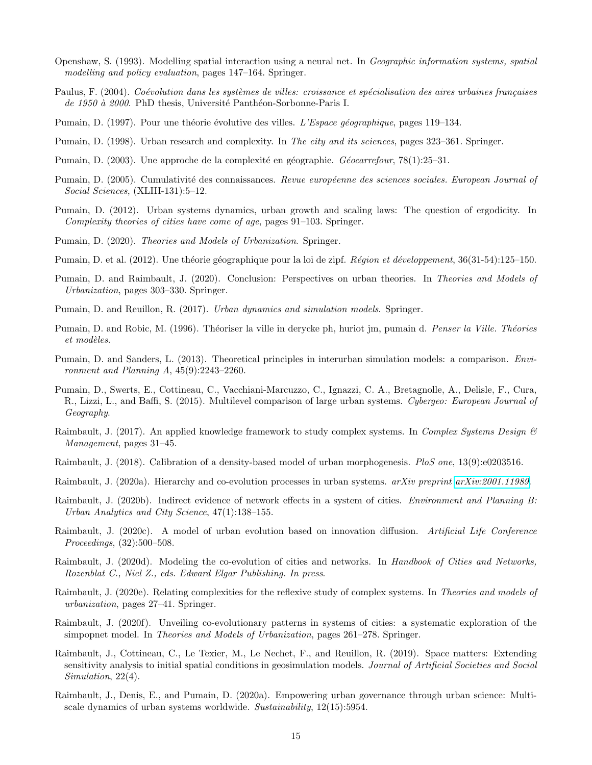- <span id="page-14-21"></span>Openshaw, S. (1993). Modelling spatial interaction using a neural net. In Geographic information systems, spatial modelling and policy evaluation, pages 147–164. Springer.
- <span id="page-14-10"></span>Paulus, F. (2004). Coévolution dans les systèmes de villes: croissance et spécialisation des aires urbaines françaises de 1950 à 2000. PhD thesis, Université Panthéon-Sorbonne-Paris I.
- <span id="page-14-0"></span>Pumain, D. (1997). Pour une théorie évolutive des villes. L'Espace géographique, pages 119–134.
- <span id="page-14-1"></span>Pumain, D. (1998). Urban research and complexity. In The city and its sciences, pages 323–361. Springer.
- <span id="page-14-2"></span>Pumain, D. (2003). Une approche de la complexité en géographie. Géocarrefour, 78(1):25–31.
- <span id="page-14-4"></span>Pumain, D. (2005). Cumulativité des connaissances. Revue européenne des sciences sociales. European Journal of Social Sciences, (XLIII-131):5–12.
- <span id="page-14-22"></span>Pumain, D. (2012). Urban systems dynamics, urban growth and scaling laws: The question of ergodicity. In Complexity theories of cities have come of age, pages 91–103. Springer.
- <span id="page-14-3"></span>Pumain, D. (2020). Theories and Models of Urbanization. Springer.
- <span id="page-14-12"></span>Pumain, D. et al. (2012). Une théorie géographique pour la loi de zipf. Région et développement, 36(31-54):125–150.
- <span id="page-14-14"></span>Pumain, D. and Raimbault, J. (2020). Conclusion: Perspectives on urban theories. In Theories and Models of Urbanization, pages 303–330. Springer.
- <span id="page-14-6"></span>Pumain, D. and Reuillon, R. (2017). Urban dynamics and simulation models. Springer.
- <span id="page-14-13"></span>Pumain, D. and Robic, M. (1996). Théoriser la ville in derycke ph, huriot jm, pumain d. Penser la Ville. Théories  $et$  modèles.
- <span id="page-14-15"></span>Pumain, D. and Sanders, L. (2013). Theoretical principles in interurban simulation models: a comparison. Environment and Planning A, 45(9):2243–2260.
- <span id="page-14-5"></span>Pumain, D., Swerts, E., Cottineau, C., Vacchiani-Marcuzzo, C., Ignazzi, C. A., Bretagnolle, A., Delisle, F., Cura, R., Lizzi, L., and Baffi, S. (2015). Multilevel comparison of large urban systems. Cybergeo: European Journal of Geography.
- <span id="page-14-16"></span>Raimbault, J. (2017). An applied knowledge framework to study complex systems. In Complex Systems Design & Management, pages 31–45.
- <span id="page-14-8"></span>Raimbault, J. (2018). Calibration of a density-based model of urban morphogenesis. PloS one, 13(9):e0203516.
- <span id="page-14-19"></span>Raimbault, J. (2020a). Hierarchy and co-evolution processes in urban systems. *arXiv preprint [arXiv:2001.11989](http://arxiv.org/abs/2001.11989)*.
- <span id="page-14-9"></span>Raimbault, J. (2020b). Indirect evidence of network effects in a system of cities. Environment and Planning B: Urban Analytics and City Science, 47(1):138–155.
- <span id="page-14-20"></span>Raimbault, J. (2020c). A model of urban evolution based on innovation diffusion. Artificial Life Conference Proceedings, (32):500–508.
- <span id="page-14-18"></span>Raimbault, J. (2020d). Modeling the co-evolution of cities and networks. In Handbook of Cities and Networks, Rozenblat C., Niel Z., eds. Edward Elgar Publishing. In press.
- <span id="page-14-17"></span>Raimbault, J. (2020e). Relating complexities for the reflexive study of complex systems. In Theories and models of urbanization, pages 27–41. Springer.
- <span id="page-14-11"></span>Raimbault, J. (2020f). Unveiling co-evolutionary patterns in systems of cities: a systematic exploration of the simpopnet model. In Theories and Models of Urbanization, pages 261–278. Springer.
- <span id="page-14-23"></span>Raimbault, J., Cottineau, C., Le Texier, M., Le Nechet, F., and Reuillon, R. (2019). Space matters: Extending sensitivity analysis to initial spatial conditions in geosimulation models. Journal of Artificial Societies and Social Simulation, 22(4).
- <span id="page-14-7"></span>Raimbault, J., Denis, E., and Pumain, D. (2020a). Empowering urban governance through urban science: Multiscale dynamics of urban systems worldwide. Sustainability, 12(15):5954.